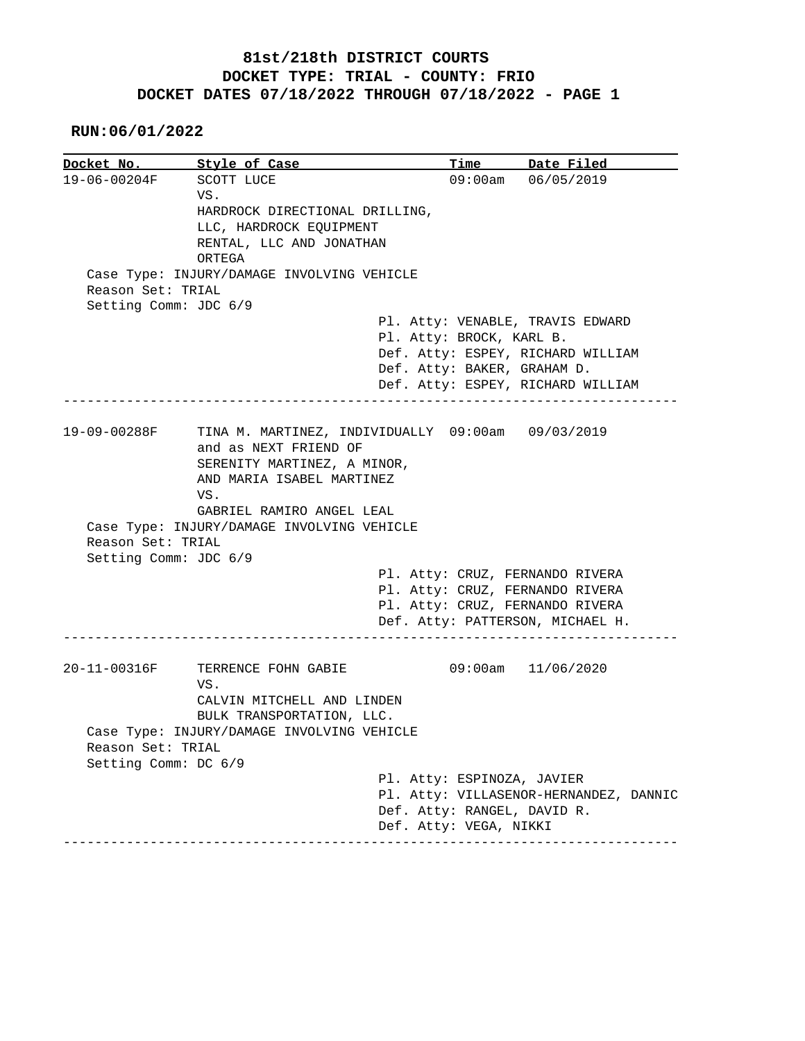## **81st/218th DISTRICT COURTS DOCKET TYPE: TRIAL - COUNTY: FRIO DOCKET DATES 07/18/2022 THROUGH 07/18/2022 - PAGE 1**

## **RUN:06/01/2022**

|                       | Style of Case                                     | Time                              | Date Filed                             |
|-----------------------|---------------------------------------------------|-----------------------------------|----------------------------------------|
| 19-06-00204F          | SCOTT LUCE                                        |                                   | 09:00am 06/05/2019                     |
|                       | VS.                                               |                                   |                                        |
|                       | HARDROCK DIRECTIONAL DRILLING,                    |                                   |                                        |
|                       | LLC, HARDROCK EQUIPMENT                           |                                   |                                        |
|                       | RENTAL, LLC AND JONATHAN                          |                                   |                                        |
|                       | ORTEGA                                            |                                   |                                        |
|                       | Case Type: INJURY/DAMAGE INVOLVING VEHICLE        |                                   |                                        |
| Reason Set: TRIAL     |                                                   |                                   |                                        |
| Setting Comm: JDC 6/9 |                                                   |                                   |                                        |
|                       |                                                   | Pl. Atty: VENABLE, TRAVIS EDWARD  |                                        |
|                       |                                                   | Pl. Atty: BROCK, KARL B.          |                                        |
|                       |                                                   | Def. Atty: ESPEY, RICHARD WILLIAM |                                        |
|                       |                                                   | Def. Atty: BAKER, GRAHAM D.       |                                        |
|                       |                                                   | Def. Atty: ESPEY, RICHARD WILLIAM |                                        |
|                       |                                                   |                                   |                                        |
|                       |                                                   |                                   |                                        |
| 19-09-00288F          | TINA M. MARTINEZ, INDIVIDUALLY 09:00am 09/03/2019 |                                   |                                        |
|                       | and as NEXT FRIEND OF                             |                                   |                                        |
|                       | SERENITY MARTINEZ, A MINOR,                       |                                   |                                        |
|                       | AND MARIA ISABEL MARTINEZ                         |                                   |                                        |
|                       |                                                   |                                   |                                        |
|                       | VS.                                               |                                   |                                        |
|                       |                                                   |                                   |                                        |
|                       | GABRIEL RAMIRO ANGEL LEAL                         |                                   |                                        |
|                       | Case Type: INJURY/DAMAGE INVOLVING VEHICLE        |                                   |                                        |
| Reason Set: TRIAL     |                                                   |                                   |                                        |
| Setting Comm: JDC 6/9 |                                                   |                                   |                                        |
|                       |                                                   | Pl. Atty: CRUZ, FERNANDO RIVERA   |                                        |
|                       |                                                   | Pl. Atty: CRUZ, FERNANDO RIVERA   |                                        |
|                       |                                                   | Pl. Atty: CRUZ, FERNANDO RIVERA   |                                        |
|                       |                                                   | Def. Atty: PATTERSON, MICHAEL H.  |                                        |
|                       |                                                   |                                   |                                        |
|                       | TERRENCE FOHN GABIE                               |                                   | 09:00am 11/06/2020                     |
|                       | VS.                                               |                                   |                                        |
| 20-11-00316F          | CALVIN MITCHELL AND LINDEN                        |                                   |                                        |
|                       | BULK TRANSPORTATION, LLC.                         |                                   |                                        |
|                       | Case Type: INJURY/DAMAGE INVOLVING VEHICLE        |                                   |                                        |
| Reason Set: TRIAL     |                                                   |                                   |                                        |
| Setting Comm: DC 6/9  |                                                   |                                   |                                        |
|                       |                                                   | Pl. Atty: ESPINOZA, JAVIER        |                                        |
|                       |                                                   |                                   | Pl. Atty: VILLASENOR-HERNANDEZ, DANNIC |
|                       |                                                   | Def. Atty: RANGEL, DAVID R.       |                                        |